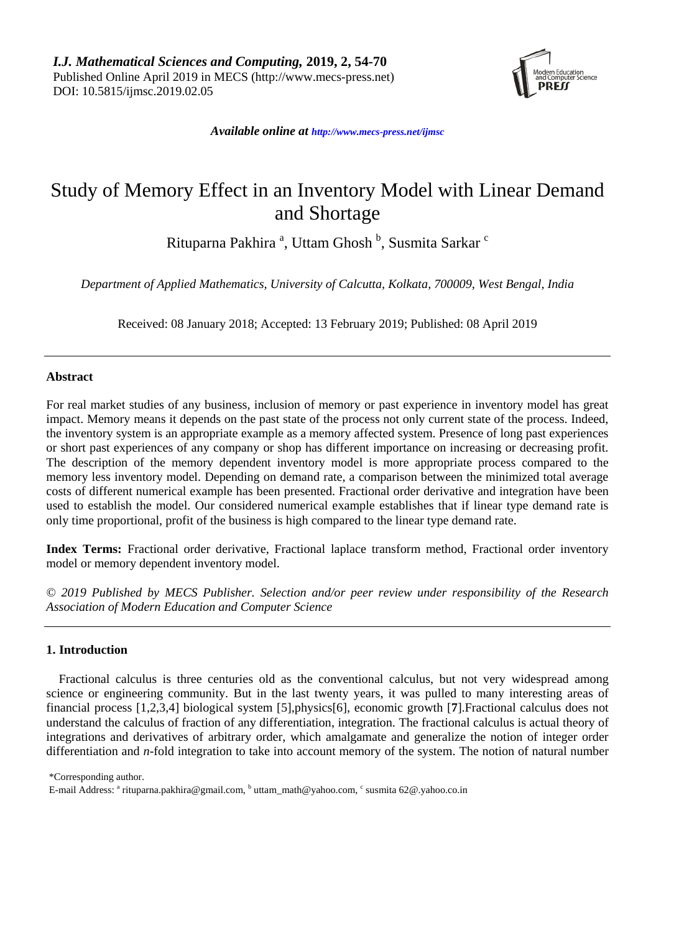

*Available online at [http://www.mecs-press.net/ijm](http://www.mecs-press.net/ijwmt)sc*

# Study of Memory Effect in an Inventory Model with Linear Demand and Shortage

Rituparna Pakhira <sup>a</sup>, Uttam Ghosh <sup>b</sup>, Susmita Sarkar <sup>c</sup>

*Department of Applied Mathematics, University of Calcutta, Kolkata, 700009, West Bengal, India*

Received: 08 January 2018; Accepted: 13 February 2019; Published: 08 April 2019

# **Abstract**

For real market studies of any business, inclusion of memory or past experience in inventory model has great impact. Memory means it depends on the past state of the process not only current state of the process. Indeed, the inventory system is an appropriate example as a memory affected system. Presence of long past experiences or short past experiences of any company or shop has different importance on increasing or decreasing profit. The description of the memory dependent inventory model is more appropriate process compared to the memory less inventory model. Depending on demand rate, a comparison between the minimized total average costs of different numerical example has been presented. Fractional order derivative and integration have been used to establish the model. Our considered numerical example establishes that if linear type demand rate is only time proportional*,* profit of the business is high compared to the linear type demand rate.

**Index Terms:** Fractional order derivative, Fractional laplace transform method, Fractional order inventory model or memory dependent inventory model.

*© 2019 Published by MECS Publisher. Selection and/or peer review under responsibility of the Research Association of Modern Education and Computer Science*

# **1. Introduction**

Fractional calculus is three centuries old as the conventional calculus, but not very widespread among science or engineering community. But in the last twenty years, it was pulled to many interesting areas of financial process [1,2,3,4] biological system [5],physics[6], economic growth [**7**].Fractional calculus does not understand the calculus of fraction of any differentiation, integration. The fractional calculus is actual theory of integrations and derivatives of arbitrary order, which amalgamate and generalize the notion of integer order differentiation and *n*-fold integration to take into account memory of the system. The notion of natural number

\*Corresponding author.

E-mail Address: <sup>a</sup> rituparna.pakhira@gmail.com, <sup>b</sup> uttam\_math@yahoo.com, <sup>c</sup> susmita 62@.yahoo.co.in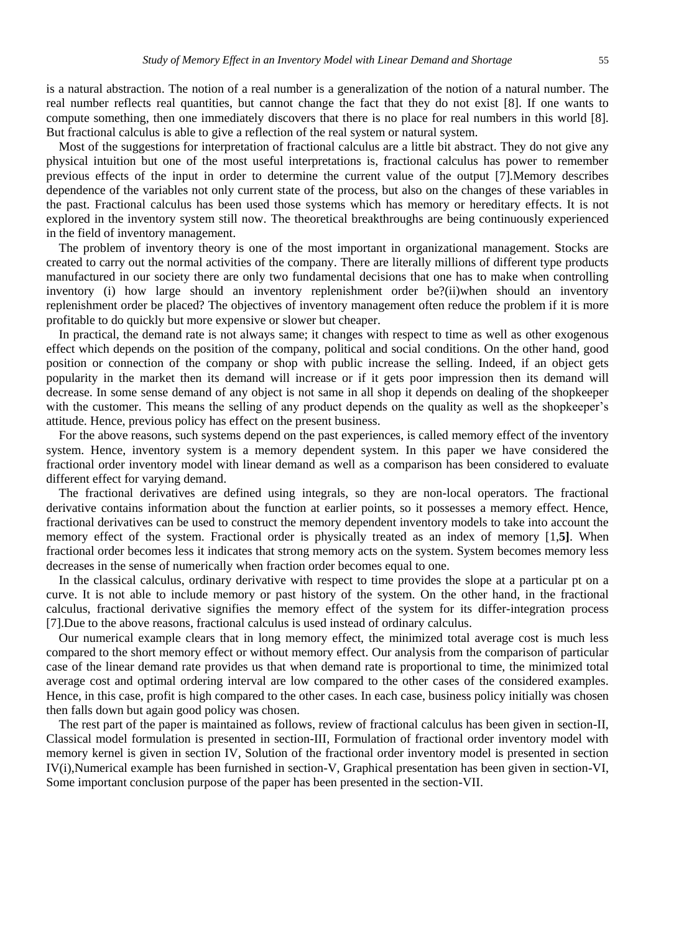is a natural abstraction. The notion of a real number is a generalization of the notion of a natural number. The real number reflects real quantities, but cannot change the fact that they do not exist [8]. If one wants to compute something, then one immediately discovers that there is no place for real numbers in this world [8]. But fractional calculus is able to give a reflection of the real system or natural system.

Most of the suggestions for interpretation of fractional calculus are a little bit abstract. They do not give any physical intuition but one of the most useful interpretations is, fractional calculus has power to remember previous effects of the input in order to determine the current value of the output [7].Memory describes dependence of the variables not only current state of the process, but also on the changes of these variables in the past. Fractional calculus has been used those systems which has memory or hereditary effects. It is not explored in the inventory system still now. The theoretical breakthroughs are being continuously experienced in the field of inventory management.

The problem of inventory theory is one of the most important in organizational management. Stocks are created to carry out the normal activities of the company. There are literally millions of different type products manufactured in our society there are only two fundamental decisions that one has to make when controlling inventory (i) how large should an inventory replenishment order be?(ii)when should an inventory replenishment order be placed? The objectives of inventory management often reduce the problem if it is more profitable to do quickly but more expensive or slower but cheaper.

In practical, the demand rate is not always same; it changes with respect to time as well as other exogenous effect which depends on the position of the company, political and social conditions. On the other hand, good position or connection of the company or shop with public increase the selling. Indeed, if an object gets popularity in the market then its demand will increase or if it gets poor impression then its demand will decrease. In some sense demand of any object is not same in all shop it depends on dealing of the shopkeeper with the customer. This means the selling of any product depends on the quality as well as the shopkeeper's attitude. Hence, previous policy has effect on the present business.

For the above reasons, such systems depend on the past experiences, is called memory effect of the inventory system. Hence, inventory system is a memory dependent system. In this paper we have considered the fractional order inventory model with linear demand as well as a comparison has been considered to evaluate different effect for varying demand.

The fractional derivatives are defined using integrals, so they are non-local operators. The fractional derivative contains information about the function at earlier points, so it possesses a memory effect. Hence, fractional derivatives can be used to construct the memory dependent inventory models to take into account the memory effect of the system. Fractional order is physically treated as an index of memory [1,**5]**. When fractional order becomes less it indicates that strong memory acts on the system. System becomes memory less decreases in the sense of numerically when fraction order becomes equal to one.

In the classical calculus, ordinary derivative with respect to time provides the slope at a particular pt on a curve. It is not able to include memory or past history of the system. On the other hand, in the fractional calculus, fractional derivative signifies the memory effect of the system for its differ-integration process [7].Due to the above reasons, fractional calculus is used instead of ordinary calculus.

Our numerical example clears that in long memory effect, the minimized total average cost is much less compared to the short memory effect or without memory effect. Our analysis from the comparison of particular case of the linear demand rate provides us that when demand rate is proportional to time, the minimized total average cost and optimal ordering interval are low compared to the other cases of the considered examples. Hence, in this case, profit is high compared to the other cases. In each case, business policy initially was chosen then falls down but again good policy was chosen.

The rest part of the paper is maintained as follows, review of fractional calculus has been given in section-II, Classical model formulation is presented in section-III, Formulation of fractional order inventory model with memory kernel is given in section IV, Solution of the fractional order inventory model is presented in section IV(i),Numerical example has been furnished in section-V, Graphical presentation has been given in section-VI, Some important conclusion purpose of the paper has been presented in the section-VII.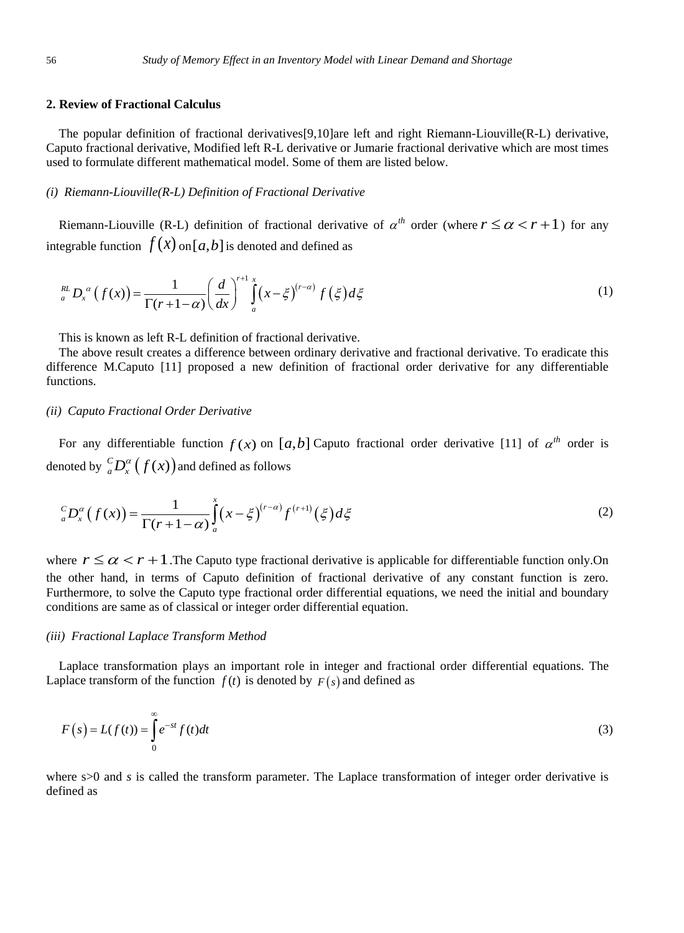## **2. Review of Fractional Calculus**

The popular definition of fractional derivatives[9,10]are left and right Riemann-Liouville(R-L) derivative, Caputo fractional derivative, Modified left R-L derivative or Jumarie fractional derivative which are most times used to formulate different mathematical model. Some of them are listed below.

## *(i) Riemann-Liouville(R-L) Definition of Fractional Derivative*

Riemann-Liouville (R-L) definition of fractional derivative of  $\alpha^{th}$  order (where  $r \leq \alpha < r + 1$ ) for any integrable function  $f(x)$  on  $[a,b]$  is denoted and defined as

$$
\int_{a}^{RL} D_x^{\alpha} (f(x)) = \frac{1}{\Gamma(r+1-\alpha)} \left(\frac{d}{dx}\right)^{r+1} \int_{a}^{x} (x-\xi)^{(r-\alpha)} f(\xi) d\xi
$$
\n(1)

This is known as left R-L definition of fractional derivative.

The above result creates a difference between ordinary derivative and fractional derivative. To eradicate this difference M.Caputo [11] proposed a new definition of fractional order derivative for any differentiable functions.

## *(ii) Caputo Fractional Order Derivative*

For any differentiable function  $f(x)$  on  $[a,b]$  Caputo fractional order derivative [11] of  $\alpha^{th}$  order is denoted by  $\int_a^c D_x^{\alpha}\big(f(x)\big)$  and defined as follows

$$
{}_{a}^{C}D_{x}^{\alpha}\left(f(x)\right)=\frac{1}{\Gamma(r+1-\alpha)}\int_{a}^{x}\left(x-\xi\right)^{(r-\alpha)}f^{(r+1)}\left(\xi\right)d\xi
$$
\n(2)

where  $r \le \alpha < r + 1$ . The Caputo type fractional derivative is applicable for differentiable function only. On the other hand, in terms of Caputo definition of fractional derivative of any constant function is zero. Furthermore, to solve the Caputo type fractional order differential equations, we need the initial and boundary conditions are same as of classical or integer order differential equation.

## *(iii) Fractional Laplace Transform Method*

Laplace transformation plays an important role in integer and fractional order differential equations. The Laplace transform of the function  $f(t)$  is denoted by  $F(s)$  and defined as

$$
F(s) = L(f(t)) = \int_{0}^{\infty} e^{-st} f(t) dt
$$
\n(3)

where s>0 and *s* is called the transform parameter. The Laplace transformation of integer order derivative is defined as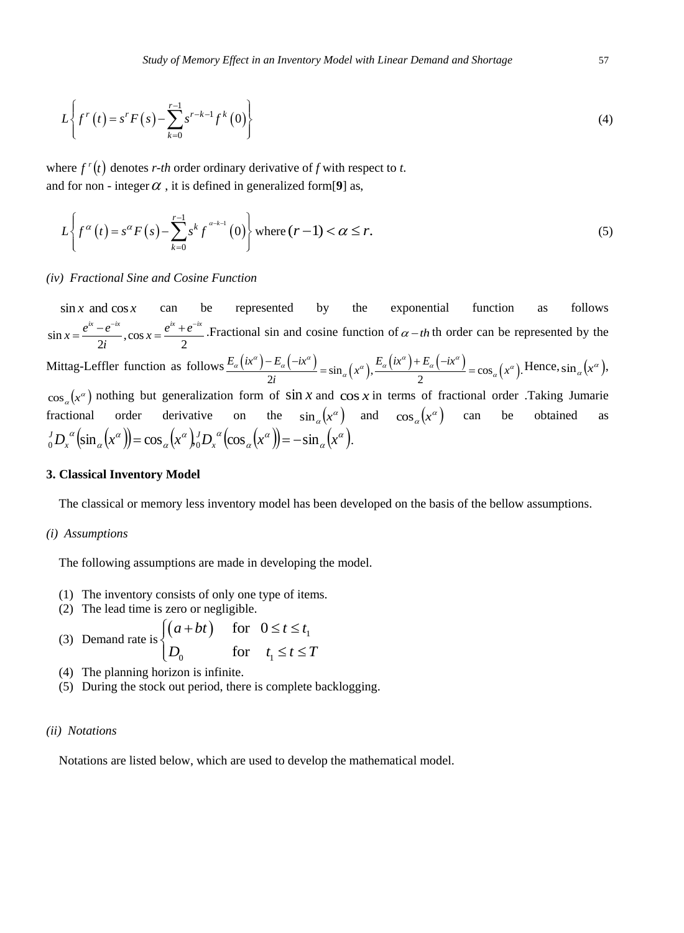$$
L\left\{f^{r}\left(t\right) = s^{r} F\left(s\right) - \sum_{k=0}^{r-1} s^{r-k-1} f^{k}\left(0\right)\right\}
$$
\n(4)

where  $f^{r}(t)$  denotes *r*-*th* order ordinary derivative of *f* with respect to *t*. and for non - integer  $\alpha$ , it is defined in generalized form[9] as,

$$
L\left\{f^{\alpha}\left(t\right)=s^{\alpha}F\left(s\right)-\sum_{k=0}^{r-1}s^{k}f^{a-k-1}\left(0\right)\right\}\text{ where }(r-1)<\alpha\leq r.
$$
\n
$$
(5)
$$

## *(iv) Fractional Sine and Cosine Function*

 $\sin x$  and  $\cos x$ can be represented by the exponential function as follows  $\sin x = \frac{e^{ix} - e^{-ix}}{2i}, \cos x = \frac{e^{ix} + e^{-ix}}{2}$  $x = \frac{e^{ix} - e^{-ix}}{2i}$ ,  $\cos x = \frac{e^{ix} + e^{-ix}}{2}$  $\frac{e^{ix} - e^{-ix}}{2i}$ ,  $\cos x = \frac{e^{ix} + e^{-ix}}{2}$ . Fractional sin and cosine function of  $\alpha - th$  th order can be represented by the g-Leffler function as follows  $\frac{E_a(x^a) - E_a(-ix^a)}{2} = \sin_a(x^a) \cdot \frac{E_a(x^a) + E_a(-ix^a)}{2} = \cos_a(x^a)$ . Hence, Mittag-Leffler function as follows  $\frac{E_{\alpha}(ix^{\alpha})-E_{\alpha}(-ix^{\alpha})}{2}=\sin_{\alpha}(x^{\alpha}), \frac{E_{\alpha}(ix^{\alpha})+E_{\alpha}(-ix^{\alpha})}{2}$  $\frac{E_a(-ix^a)}{2i} = \sin_a(x^a), \frac{E_a(ix^a) + E_a(-ix^a)}{2} = \cos_a(x^a).$  $\frac{d}{dz}$   $\left(\frac{dx^{\alpha}}{2i}\right) - E_{\alpha}\left(-i x^{\alpha}\right)$  =  $\sin_{\alpha}\left(x^{\alpha}\right), \frac{E_{\alpha}\left(i x^{\alpha}\right) + E_{\alpha}\left(-i x^{\alpha}\right)}{2}$  =  $\cos_{\alpha}\left(x^{\alpha}\right).$  He Hence,  $\sin_{\alpha}(x^{\alpha})$ ,  $\cos_{\alpha}(x^{\alpha})$  nothing but generalization form of  $\sin x$  and  $\cos x$  in terms of fractional order .Taking Jumarie fractional order derivative on the  $\sin_{\alpha}(x^{\alpha})$  and  $\cos_{\alpha}(x^{\alpha})$  can be obtained as  $(\sin_{\alpha}(x^{\alpha})) = \cos_{\alpha}(x^{\alpha})^{\prime} D_{\alpha}^{\alpha} (\cos_{\alpha}(x^{\alpha})) = -\sin_{\alpha}(x^{\alpha}).$ α α  $\alpha$  $\alpha$  )  $J \nabla$   $\alpha$ α α  $D_{\alpha}^{\alpha}$  (sin  $_{\alpha}$  (x<sup> $\alpha$ </sup>)) = cos  $_{\alpha}$  (x<sup> $\alpha$ </sup>),  $_{\alpha}^{J}$  *D*,  $_{\alpha}^{\alpha}$  (cos  $_{\alpha}$  (x $^{\alpha}$ )) = - sin  $_{\alpha}$  (x *x*  $J_0 D_x^{\alpha} (\sin_{\alpha} (x^{\alpha})) = \cos_{\alpha} (x^{\alpha})_0^J D_x^{\alpha} (\cos_{\alpha} (x^{\alpha})) = -\sin_{\alpha} (x^{\alpha}).$ 

## **3. Classical Inventory Model**

The classical or memory less inventory model has been developed on the basis of the bellow assumptions.

#### *(i) Assumptions*

The following assumptions are made in developing the model.

- (1) The inventory consists of only one type of items.
- 

\n- (2) The lead time is zero or negligible.
\n- (3) Demand rate is\n 
$$
\begin{cases}\n (a + bt) & \text{for } 0 \leq t \leq t_1 \\
 D_0 & \text{for } t_1 \leq t \leq T\n \end{cases}
$$
\n
\n

- (4) The planning horizon is infinite.
- (5) During the stock out period, there is complete backlogging.

## *(ii) Notations*

Notations are listed below, which are used to develop the mathematical model.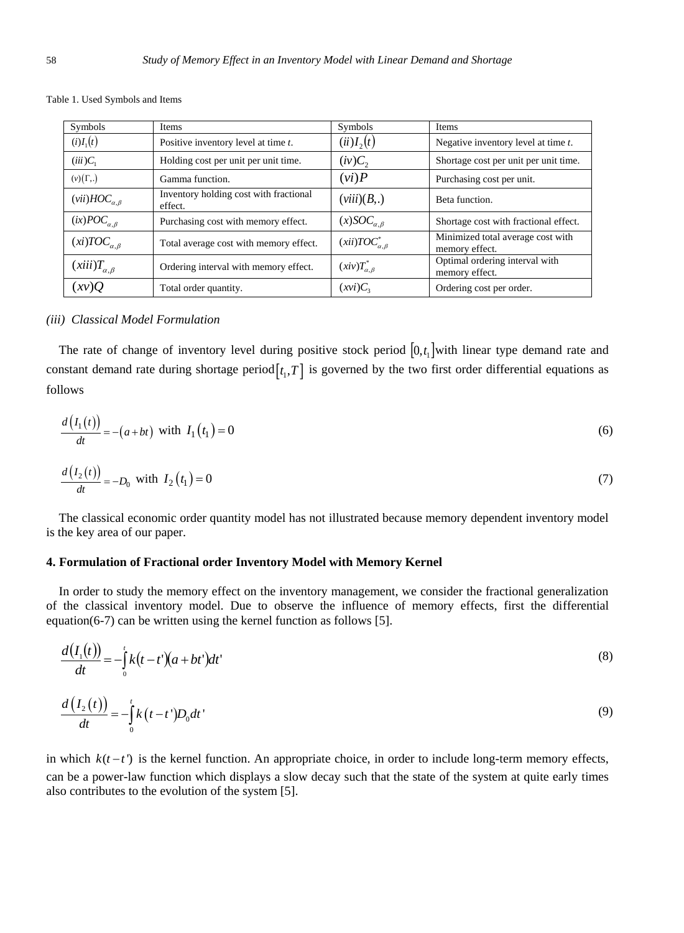| Table 1. Used Symbols and Items |
|---------------------------------|
|---------------------------------|

| Symbols                    | Items                                             | Symbols                     | Items                                               |  |
|----------------------------|---------------------------------------------------|-----------------------------|-----------------------------------------------------|--|
| $(i)I_1(t)$                | Positive inventory level at time t.               | $(ii)I_{2}(t)$              | Negative inventory level at time $t$ .              |  |
| $(iii)C_1$                 | Holding cost per unit per unit time.              | $(iv)C_{2}$                 | Shortage cost per unit per unit time.               |  |
| $(v)(\Gamma,.)$            | Gamma function.                                   | (vi)P                       | Purchasing cost per unit.                           |  |
| $(vii) HOC_{\alpha,\beta}$ | Inventory holding cost with fractional<br>effect. | (viii)(B,.)                 | Beta function.                                      |  |
| $(ix)POC_{\alpha,\beta}$   | Purchasing cost with memory effect.               | $(x)SOC_{\alpha,\beta}$     | Shortage cost with fractional effect.               |  |
| $(xi) TOC_{\alpha,\beta}$  | Total average cost with memory effect.            | $(xii)TOC_{\alpha,\beta}^*$ | Minimized total average cost with<br>memory effect. |  |
| $(xiii)T_{\alpha,\beta}$   | Ordering interval with memory effect.             | $(xiv)T^*_{\alpha,\beta}$   | Optimal ordering interval with<br>memory effect.    |  |
| (xv)Q                      | Total order quantity.                             | $(xvi)C_3$                  | Ordering cost per order.                            |  |

#### *(iii) Classical Model Formulation*

The rate of change of inventory level during positive stock period  $[0, t<sub>1</sub>]$  with linear type demand rate and constant demand rate during shortage period $[t_1, T]$  is governed by the two first order differential equations as follows

$$
\frac{d(I_1(t))}{dt} = -(a+bt) \text{ with } I_1(t_1) = 0
$$
\n
$$
\frac{d(I_2(t))}{dt} = -D_0 \text{ with } I_2(t_1) = 0
$$
\n(7)

The classical economic order quantity model has not illustrated because memory dependent inventory model is the key area of our paper.

#### **4. Formulation of Fractional order Inventory Model with Memory Kernel**

In order to study the memory effect on the inventory management, we consider the fractional generalization of the classical inventory model. Due to observe the influence of memory effects, first the differential equation( $6-7$ ) can be written using the kernel function as follows [5].

$$
\frac{d(I_1(t))}{dt} = -\int_0^t k(t-t') (a+bt') dt' \tag{8}
$$

$$
\frac{d\left(I_2\left(t\right)\right)}{dt} = -\int_0^t k\left(t - t'\right)D_0 dt' \tag{9}
$$

in which  $k(t-t')$  is the kernel function. An appropriate choice, in order to include long-term memory effects, can be a power-law function which displays a slow decay such that the state of the system at quite early times also contributes to the evolution of the system [5].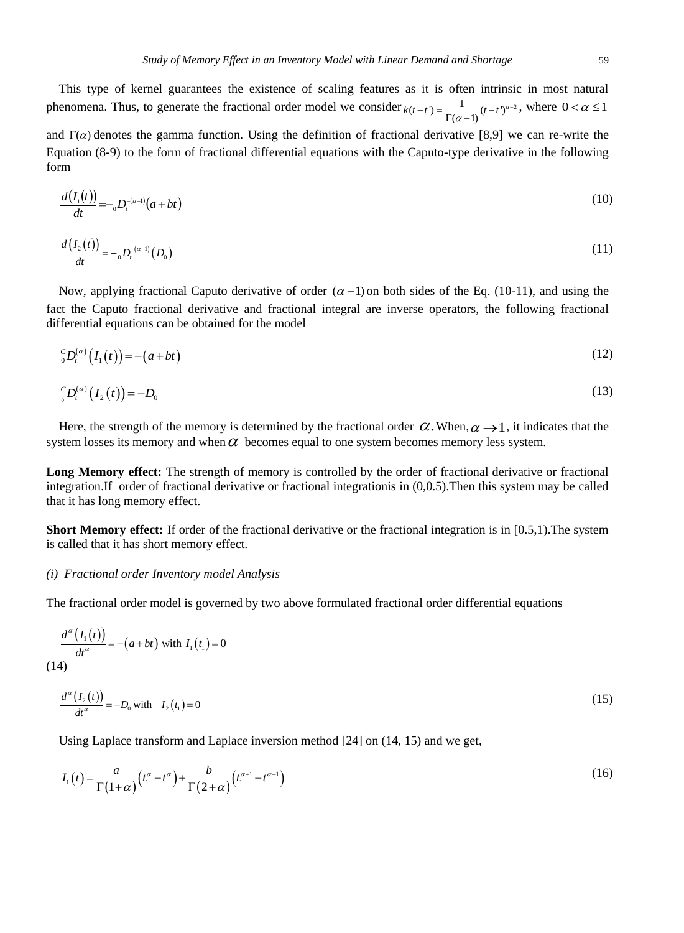This type of kernel guarantees the existence of scaling features as it is often intrinsic in most natural phenomena. Thus, to generate the fractional order model we consider  $k(t-t) = \frac{1}{\Gamma(\alpha-1)} (t-t)^{\alpha-2}$ , where  $0 < \alpha \le 1$ 

and  $\Gamma(\alpha)$  denotes the gamma function. Using the definition of fractional derivative [8,9] we can re-write the Equation (8-9) to the form of fractional differential equations with the Caputo-type derivative in the following form

$$
\frac{d(I_1(t))}{dt} = - {}_0D_t^{-(a-1)}(a+bt) \tag{10}
$$

$$
\frac{d(I_2(t))}{dt} = - {}_0D_t^{-(\alpha-1)}(D_0)
$$
\n(11)

Now, applying fractional Caputo derivative of order  $(\alpha - 1)$  on both sides of the Eq. (10-11), and using the fact the Caputo fractional derivative and fractional integral are inverse operators, the following fractional differential equations can be obtained for the model

$$
{}_{0}^{C}D_{t}^{(\alpha)}\left(I_{1}(t)\right) = -(a+bt)
$$
\n<sup>(12)</sup>

$$
{}_{_{0}}^{c}D_{t}^{(\alpha)}\big(I_{2}(t)\big) = -D_{0} \tag{13}
$$

Here, the strength of the memory is determined by the fractional order  $\alpha$ . When,  $\alpha \rightarrow 1$ , it indicates that the system losses its memory and when  $\alpha$  becomes equal to one system becomes memory less system.

Long Memory effect: The strength of memory is controlled by the order of fractional derivative or fractional integration.If order of fractional derivative or fractional integrationis in (0,0.5).Then this system may be called that it has long memory effect.

**Short Memory effect:** If order of the fractional derivative or the fractional integration is in [0.5,1).The system is called that it has short memory effect.

#### *(i) Fractional order Inventory model Analysis*

The fractional order model is governed by two above formulated fractional order differential equations

$$
\frac{d^{a}(I_{1}(t))}{dt^{a}} = -(a+bt) \text{ with } I_{1}(t_{1}) = 0
$$
\n
$$
(14)
$$
\n
$$
d^{a}(I_{2}(t)) = D \text{ with } I_{1}(t_{1}) = 0
$$
\n
$$
(15)
$$

$$
\frac{d^{a}(I_{2}(t))}{dt^{a}} = -D_{0} \text{ with } I_{2}(t_{1}) = 0
$$
\n(15)

Using Laplace transform and Laplace inversion method [24] on (14, 15) and we get,

Using Laplace transform and Laplace inversion function [2+*j* of (1+, 12) and we get,  

$$
I_1(t) = \frac{a}{\Gamma(1+\alpha)} \left( t_1^{\alpha} - t^{\alpha} \right) + \frac{b}{\Gamma(2+\alpha)} \left( t_1^{\alpha+1} - t^{\alpha+1} \right)
$$
(16)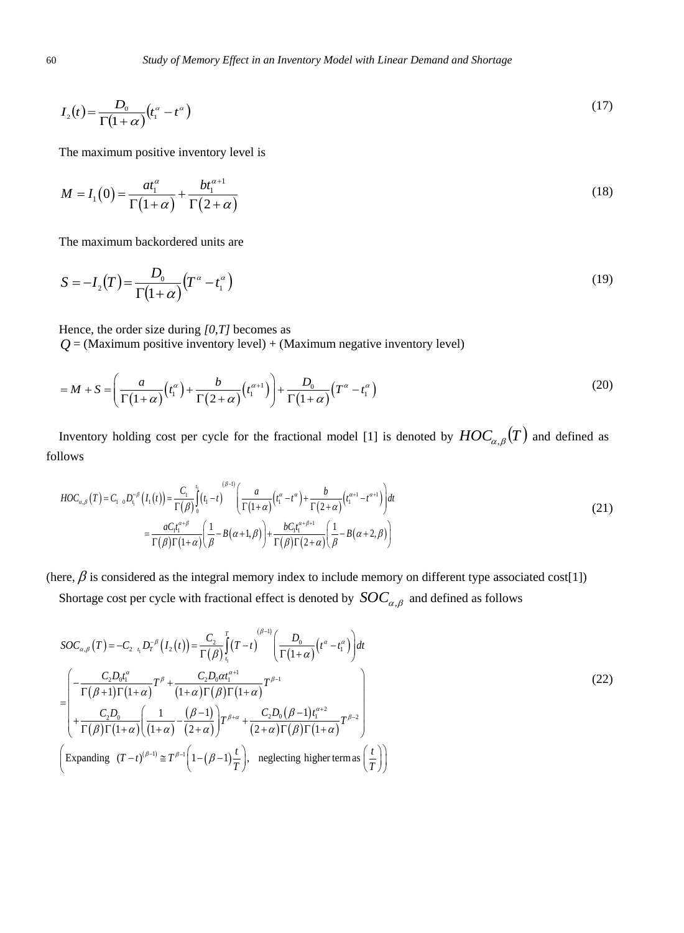$$
I_2(t) = \frac{D_0}{\Gamma(1+\alpha)} \left(t_1^{\alpha} - t^{\alpha}\right) \tag{17}
$$

The maximum positive inventory level is

$$
M = I_1(0) = \frac{at_1^{\alpha}}{\Gamma(1+\alpha)} + \frac{bt_1^{\alpha+1}}{\Gamma(2+\alpha)}
$$
(18)

The maximum backordered units are

$$
S = -I_2(T) = \frac{D_0}{\Gamma(1+\alpha)}(T^{\alpha} - t_1^{\alpha})
$$
\n(19)

Hence, the order size during *[0,T]* becomes as

$$
Q = (\text{Maximum positive inventory level}) + (\text{Maximum negative inventory level})
$$
\n
$$
= M + S = \left(\frac{a}{\Gamma(1+\alpha)}(t_1^{\alpha}) + \frac{b}{\Gamma(2+\alpha)}(t_1^{\alpha+1})\right) + \frac{D_0}{\Gamma(1+\alpha)}(T^{\alpha} - t_1^{\alpha})
$$
\n
$$
(20)
$$

Inventory holding cost per cycle for the fractional model [1] is denoted by  $HOC_{\alpha,\beta}(T)$  and defined as follows

Iows  
\n
$$
HOC_{\alpha,\beta}(T) = C_{1} \, {}_{0}D_{\eta}^{-\beta} (I_{1}(t)) = \frac{C_{1}}{\Gamma(\beta)} \int_{0}^{t} (t_{1} - t)^{(\beta - 1)} \left( \frac{a}{\Gamma(1 + \alpha)} \left( t_{1}^{\alpha} - t^{\alpha} \right) + \frac{b}{\Gamma(2 + \alpha)} \left( t_{1}^{\alpha + 1} - t^{\alpha + 1} \right) \right) dt
$$
\n
$$
= \frac{aC_{1}t_{1}^{\alpha + \beta}}{\Gamma(\beta)\Gamma(1 + \alpha)} \left( \frac{1}{\beta} - B(\alpha + 1, \beta) \right) + \frac{bC_{1}t_{1}^{\alpha + \beta + 1}}{\Gamma(\beta)\Gamma(2 + \alpha)} \left( \frac{1}{\beta} - B(\alpha + 2, \beta) \right)
$$
\n(21)

(here,  $\beta$  is considered as the integral memory index to include memory on different type associated cost[1])

Shortage cost per cycle with fractional effect is denoted by 
$$
SOC_{\alpha,\beta}
$$
 and defined as follows

\n
$$
SOC_{\alpha,\beta}(T) = -C_{2\ i_{1}} D_{T}^{-\beta} (I_{2}(t)) = \frac{C_{2}}{\Gamma(\beta)} \int_{t_{1}}^{T} (T-t)^{(\beta-1)} \left( \frac{D_{0}}{\Gamma(1+\alpha)} (t^{\alpha} - t_{1}^{\alpha}) \right) dt
$$
\n
$$
= \begin{pmatrix} -\frac{C_{2}D_{0}t_{1}^{\alpha}}{\Gamma(\beta+1)\Gamma(1+\alpha)} T^{\beta} + \frac{C_{2}D_{0}\alpha t_{1}^{\alpha+1}}{(1+\alpha)\Gamma(\beta)\Gamma(1+\alpha)} T^{\beta-1} \\ + \frac{C_{2}D_{0}}{\Gamma(\beta)\Gamma(1+\alpha)} \left( \frac{1}{(1+\alpha)} - \frac{(\beta-1)}{(2+\alpha)} \right) T^{\beta+\alpha} + \frac{C_{2}D_{0}(\beta-1)t_{1}^{\alpha+2}}{(2+\alpha)\Gamma(\beta)\Gamma(1+\alpha)} T^{\beta-2} \end{pmatrix}
$$
\n(Expanding  $(T-t)^{(\beta-1)} \cong T^{\beta-1} \left( 1 - (\beta-1) \frac{t}{T} \right)$ , neglecting higher terms as  $\left( \frac{t}{T} \right)$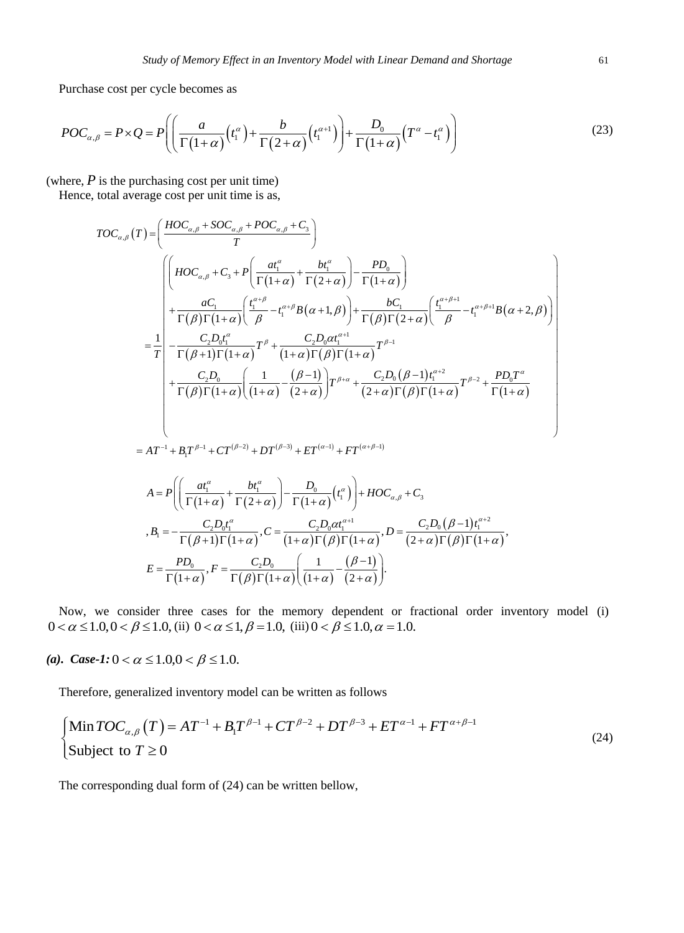Purchase cost per cycle becomes as

Put the two different values are given by:

\n
$$
POC_{\alpha,\beta} = P \times Q = P\left(\left(\frac{a}{\Gamma(1+\alpha)}\left(t_1^{\alpha}\right) + \frac{b}{\Gamma(2+\alpha)}\left(t_1^{\alpha+1}\right)\right) + \frac{D_0}{\Gamma(1+\alpha)}\left(T^{\alpha} - t_1^{\alpha}\right)\right)
$$
\n(23)

(where, *P* is the purchasing cost per unit time)  
\nHence, total average cost per unit time is as,  
\n
$$
TOC_{\alpha,\beta}(T) = \left(\frac{HOC_{\alpha,\beta} + SOC_{\alpha,\beta} + POC_{\alpha,\beta} + C_3}{T}\right)
$$
\n
$$
= \frac{\left(\left(HOC_{\alpha,\beta} + C_3 + P\left(\frac{at^{\alpha}}{\Gamma(1+\alpha)} + \frac{bt^{\alpha}}{\Gamma(2+\alpha)}\right) - \frac{PD_0}{\Gamma(1+\alpha)}\right) + \frac{BC_1}{\Gamma(1+\alpha)}\right)}{T(\beta)\Gamma(1+\alpha)\left(\frac{t^{\alpha+\beta}}{\beta} - t_1^{\alpha+\beta}B(\alpha+1,\beta)\right) + \frac{bc_1}{\Gamma(\beta)\Gamma(2+\alpha)}\left(\frac{t^{\alpha+\beta+1}}{\beta} - t_1^{\alpha+\beta+1}B(\alpha+2,\beta)\right)}
$$
\n
$$
= \frac{1}{T}\left(-\frac{C_2D_0t_1^{\alpha}}{\Gamma(\beta+1)\Gamma(1+\alpha)}T^{\beta} + \frac{C_2D_0at_1^{\alpha+1}}{(1+\alpha)\Gamma(\beta)\Gamma(1+\alpha)}T^{\beta-1} + \frac{C_2D_0(B-1)t_1^{\alpha+2}}{\Gamma(\beta)\Gamma(1+\alpha)}T^{\beta-2} + \frac{PD_0T^{\alpha}}{\Gamma(1+\alpha)}
$$
\n
$$
= AT^{-1} + B_1T^{\beta-1} + CT^{(\beta-2)} + DT^{(\beta-3)} + ET^{(\alpha-1)} + FT^{(\alpha+\beta-1)}
$$
\n
$$
A = P\left(\frac{at_1^{\alpha}}{\Gamma(1+\alpha)} + \frac{bt_1^{\alpha}}{\Gamma(2+\alpha)}\right) - \frac{D_0}{\Gamma(1+\alpha)}(t_1^{\alpha}) + HOC_{\alpha,\beta} + C_3
$$

$$
AT^{-1} + B_1T^{\beta-1} + CT^{(\beta-2)} + DT^{(\beta-3)} + ET^{(\alpha-1)} + FT^{(\alpha+\beta-1)}
$$
  
\n
$$
A = P\left(\left(\frac{at_1^{\alpha}}{\Gamma(1+\alpha)} + \frac{bt_1^{\alpha}}{\Gamma(2+\alpha)}\right) - \frac{D_0}{\Gamma(1+\alpha)}(t_1^{\alpha})\right) + HOC_{\alpha,\beta} + C_3
$$
  
\n
$$
B_1 = -\frac{C_2D_0t_1^{\alpha}}{\Gamma(\beta+1)\Gamma(1+\alpha)}, C = \frac{C_2D_0\alpha t_1^{\alpha+1}}{(1+\alpha)\Gamma(\beta)\Gamma(1+\alpha)}, D = \frac{C_2D_0(\beta-1)t_1^{\alpha+2}}{(2+\alpha)\Gamma(\beta)\Gamma(1+\alpha)},
$$
  
\n
$$
E = \frac{PD_0}{\Gamma(1+\alpha)}, F = \frac{C_2D_0}{\Gamma(\beta)\Gamma(1+\alpha)}\left(\frac{1}{(1+\alpha)} - \frac{(\beta-1)}{(2+\alpha)}\right).
$$

Now, we consider three cases for the memory dependent or fractional order inventory model (i)  $0 < \alpha \le 1.0, 0 < \beta \le 1.0$ , (ii)  $0 < \alpha \le 1, \beta = 1.0$ , (iii)  $0 < \beta \le 1.0, \alpha = 1.0$ .

*(a). Case-1:*  $0 < \alpha \le 1.0$ ,  $0 < \beta \le 1.0$ .

Therefore, generalized inventory model can be written as follows

Therefore, generalized inventory model can be written as follows  
\n
$$
\left[\begin{array}{l}\text{Min} TOC_{\alpha,\beta}(T) = AT^{-1} + B_1 T^{\beta-1} + CT^{\beta-2} + DT^{\beta-3} + ET^{\alpha-1} + FT^{\alpha+\beta-1} \\ \text{Subject to } T \ge 0 \end{array}\right] (24)
$$

The corresponding dual form of (24) can be written bellow,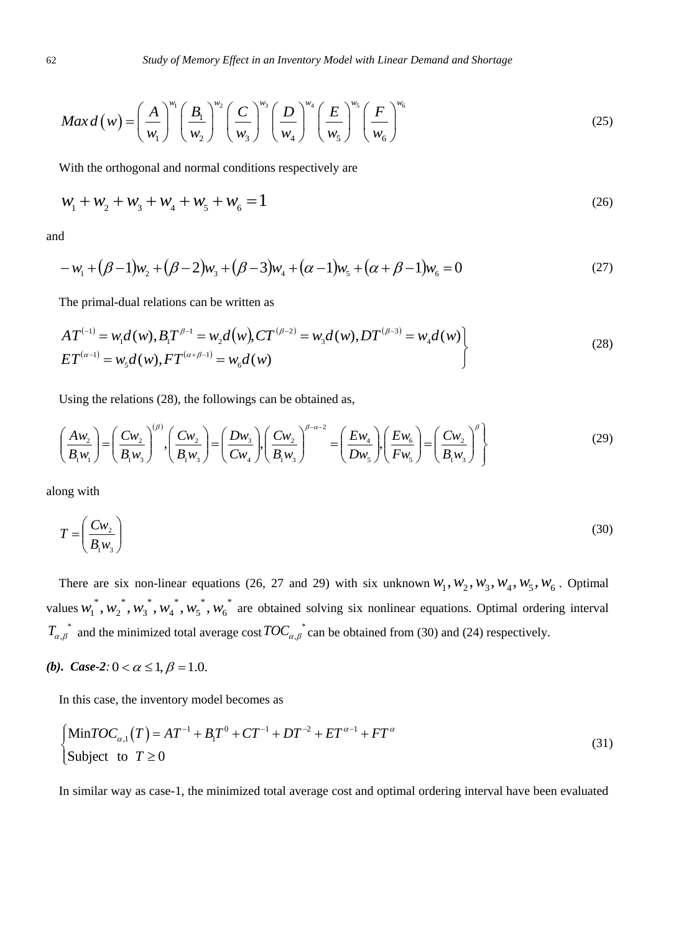$$
Max d(w) = \left(\frac{A}{w_1}\right)^{w_1} \left(\frac{B_1}{w_2}\right)^{w_2} \left(\frac{C}{w_3}\right)^{w_3} \left(\frac{D}{w_4}\right)^{w_4} \left(\frac{E}{w_5}\right)^{w_5} \left(\frac{F}{w_6}\right)^{w_6}
$$
(25)

With the orthogonal and normal conditions respectively are

$$
w_1 + w_2 + w_3 + w_4 + w_5 + w_6 = 1
$$
\n<sup>(26)</sup>

and

$$
-w_1 + (\beta - 1)w_2 + (\beta - 2)w_3 + (\beta - 3)w_4 + (\alpha - 1)w_5 + (\alpha + \beta - 1)w_6 = 0
$$
\n(27)

The primal-dual relations can be written as

$$
AT^{(-1)} = w_1 d(w), B_1 T^{\beta - 1} = w_2 d(w), CT^{(\beta - 2)} = w_3 d(w), DT^{(\beta - 3)} = w_4 d(w)
$$
  
\n
$$
ET^{(\alpha - 1)} = w_5 d(w), FT^{(\alpha + \beta - 1)} = w_6 d(w)
$$
\n(28)

Using the relations (28), the followings can be obtained as,

$$
\left(\frac{A w_2}{B_1 w_1}\right) = \left(\frac{C w_2}{B_1 w_3}\right)^{(\beta)}, \left(\frac{C w_2}{B_1 w_3}\right) = \left(\frac{D w_3}{C w_4}\right), \left(\frac{C w_2}{B_1 w_3}\right)^{\beta - \alpha - 2} = \left(\frac{E w_4}{D w_5}\right), \left(\frac{E w_6}{F w_5}\right) = \left(\frac{C w_2}{B_1 w_3}\right)^{\beta}
$$
\n(29)

along with

$$
T = \left(\frac{Cw_2}{B_1 w_3}\right) \tag{30}
$$

There are six non-linear equations (26, 27 and 29) with six unknown  $W_1, W_2, W_3, W_4, W_5, W_6$ . Optimal values  $w_1^*, w_2^*, w_3^*, w_4^*, w_5^*, w_6^*$ 6 \* 5 \* 4 \* 3 \* 2  $w_1^*, w_2^*, w_3^*, w_4^*, w_5^*, w_6^*$  are obtained solving six nonlinear equations. Optimal ordering interval  $T_{\alpha,\beta}^*$  and the minimized total average cost  $TOC_{\alpha,\beta}^*$  can be obtained from (30) and (24) respectively.

# *(b). Case-2*:  $0 < \alpha \leq 1, \beta = 1.0$ .

In this case, the inventory model becomes as  
\n
$$
\begin{cases}\n\text{Min} TOC_{\alpha,1}(T) = AT^{-1} + B_1 T^0 + CT^{-1} + DT^{-2} + ET^{\alpha-1} + FT^{\alpha} \\
\text{Subject to } T \ge 0\n\end{cases}
$$
\n(31)

In similar way as case-1, the minimized total average cost and optimal ordering interval have been evaluated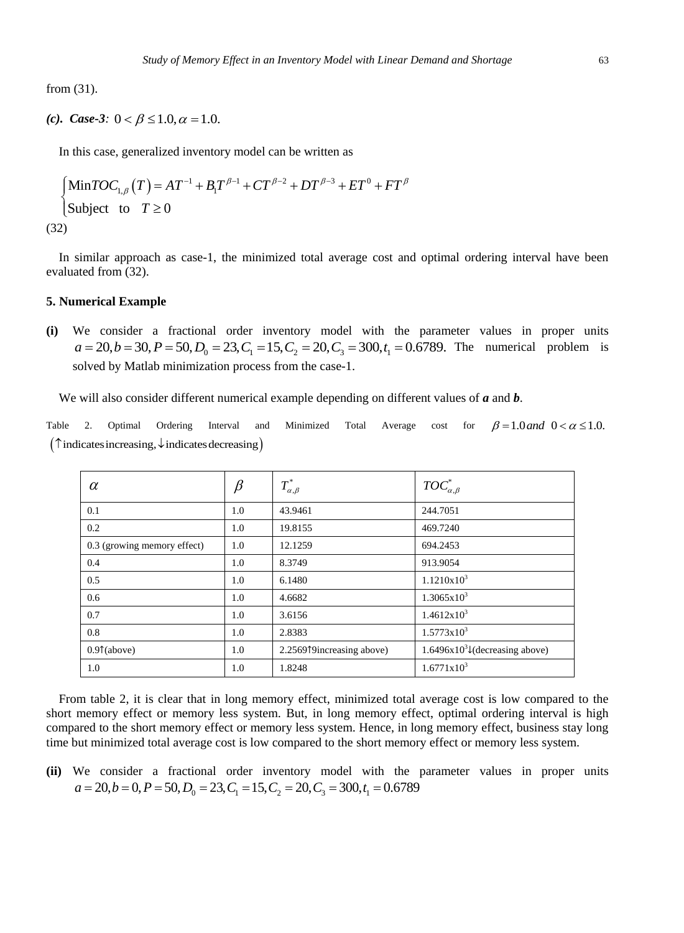from (31).

*(c). Case-3:*  $0 < \beta \le 1.0, \alpha = 1.0$ .

In this case, generalized inventory model can be written as  
\n
$$
\begin{cases}\n\text{Min}TOC_{1,\beta}(T) = AT^{-1} + B_1T^{\beta-1} + CT^{\beta-2} + DT^{\beta-3} + ET^0 + FT^{\beta}\n\end{cases}
$$
\nSubject to  $T \ge 0$   
\n(32)

In similar approach as case-1, the minimized total average cost and optimal ordering interval have been evaluated from (32).

## **5. Numerical Example**

**(i)** We consider a fractional order inventory model with the parameter values in proper units merical Example<br>We consider a fractional order inventory model with the paramet<br> $a = 20, b = 30, P = 50, D_0 = 23, C_1 = 15, C_2 = 20, C_3 = 300, t_1 = 0.6789$ . The basel of the Method is interesting the parameter of the space of The numerical problem is solved by Matlab minimization process from the case-1.

We will also consider different numerical example depending on different values of *a* and *b*.

Table 2. Optimal Ordering Interval and Minimized Total Average cost for  $\beta = 1.0$  and  $0 < \alpha \leq 1.0$ . Table 2. Optimal Ordering Interval and<br>  $(\uparrow\text{indicates increasing}, \downarrow\text{indicates decreasing})$ 

| $\alpha$                    | $\beta$ | $T^*_{\alpha,\beta}$      | $TOC^*_{\alpha,\beta}$             |
|-----------------------------|---------|---------------------------|------------------------------------|
| 0.1                         | 1.0     | 43.9461                   | 244.7051                           |
| 0.2                         | 1.0     | 19.8155                   | 469.7240                           |
| 0.3 (growing memory effect) | 1.0     | 12.1259                   | 694.2453                           |
| 0.4                         | 1.0     | 8.3749                    | 913.9054                           |
| 0.5                         | 1.0     | 6.1480                    | 1.1210x10 <sup>3</sup>             |
| 0.6                         | 1.0     | 4.6682                    | $1.3065 \times 10^{3}$             |
| 0.7                         | 1.0     | 3.6156                    | $1.4612x10^3$                      |
| 0.8                         | 1.0     | 2.8383                    | $1.5773 \times 10^{3}$             |
| $0.9$ $(\text{above})$      | 1.0     | 2.2569↑9increasing above) | $1.6496x10^{3}$ (decreasing above) |
| 1.0                         | 1.0     | 1.8248                    | $1.6771 \times 10^3$               |

From table 2, it is clear that in long memory effect, minimized total average cost is low compared to the short memory effect or memory less system. But, in long memory effect, optimal ordering interval is high compared to the short memory effect or memory less system. Hence, in long memory effect, business stay long time but minimized total average cost is low compared to the short memory effect or memory less system.

**(ii)** We consider a fractional order inventory model with the parameter values in proper units  $a = 20, b = 0, P = 50, D_0 = 23, C_1 = 15, C_2 = 20, C_3 = 300, t_1 = 0.6789$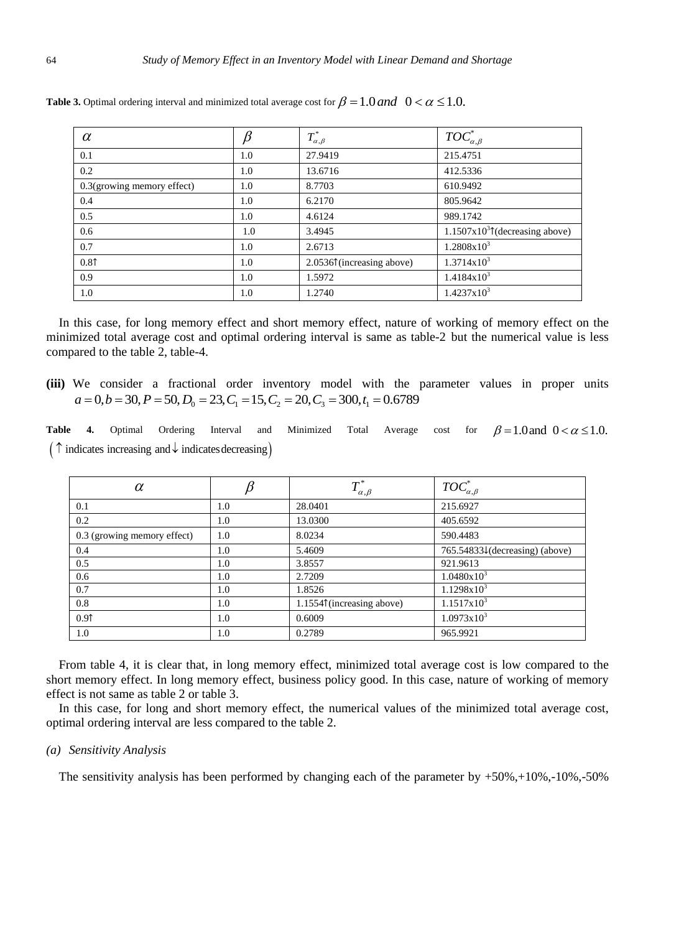| $\alpha$                      |     | $T^*_{\alpha,\beta}$       | $TOC^*_{\alpha,\beta}$          |
|-------------------------------|-----|----------------------------|---------------------------------|
| 0.1                           | 1.0 | 27.9419                    | 215.4751                        |
| 0.2                           | 1.0 | 13.6716                    | 412.5336                        |
| $0.3$ (growing memory effect) | 1.0 | 8.7703                     | 610.9492                        |
| 0.4                           | 1.0 | 6.2170                     | 805.9642                        |
| 0.5                           | 1.0 | 4.6124                     | 989.1742                        |
| 0.6                           | 1.0 | 3.4945                     | $1.1507x103$ (decreasing above) |
| 0.7                           | 1.0 | 2.6713                     | $1.2808x10^3$                   |
| 0.81                          | 1.0 | 2.05361 (increasing above) | $1.3714x10^{3}$                 |
| 0.9                           | 1.0 | 1.5972                     | $1.4184x10^3$                   |
| 1.0                           | 1.0 | 1.2740                     | $1.4237x10^3$                   |

**Table 3.** Optimal ordering interval and minimized total average cost for  $\beta = 1.0$  and  $0 < \alpha \leq 1.0$ .

In this case, for long memory effect and short memory effect, nature of working of memory effect on the minimized total average cost and optimal ordering interval is same as table-2 but the numerical value is less compared to the table 2, table-4.

**(iii)** We consider a fractional order inventory model with the parameter values in proper units  $a = 0, b = 30, P = 50, D_0 = 23, C_1 = 15, C_2 = 20, C_3 = 300, t_1 = 0.6789$ 

**Table 4.** Optimal Ordering Interval and Minimized Total Average cost for  $\beta$  = 1.0 and 0 <  $\alpha$  ≤ 1.0. Table 4. Optimal Ordering Interval and  $(\uparrow \text{indicates increasing and } \downarrow \text{ indicates decreasing})$ 

| $\alpha$                    |     | $T^*_{\alpha,\beta}$       | $TOC^*_{\alpha,\beta}$         |
|-----------------------------|-----|----------------------------|--------------------------------|
| 0.1                         | 1.0 | 28.0401                    | 215.6927                       |
| 0.2                         | 1.0 | 13.0300                    | 405.6592                       |
| 0.3 (growing memory effect) | 1.0 | 8.0234                     | 590.4483                       |
| 0.4                         | 1.0 | 5.4609                     | 765.54833↓(decreasing) (above) |
| 0.5                         | 1.0 | 3.8557                     | 921.9613                       |
| 0.6                         | 1.0 | 2.7209                     | $1.0480x10^3$                  |
| 0.7                         | 1.0 | 1.8526                     | $1.1298x10^{3}$                |
| 0.8                         | 1.0 | 1.1554↑ (increasing above) | $1.1517x10^3$                  |
| 0.91                        | 1.0 | 0.6009                     | $1.0973 \times 10^{3}$         |
| 1.0                         | 1.0 | 0.2789                     | 965.9921                       |

From table 4, it is clear that, in long memory effect, minimized total average cost is low compared to the short memory effect. In long memory effect, business policy good. In this case, nature of working of memory effect is not same as table 2 or table 3.

In this case, for long and short memory effect, the numerical values of the minimized total average cost, optimal ordering interval are less compared to the table 2.

#### *(a) Sensitivity Analysis*

The sensitivity analysis has been performed by changing each of the parameter by  $+50\%, +10\%, -10\%, -50\%$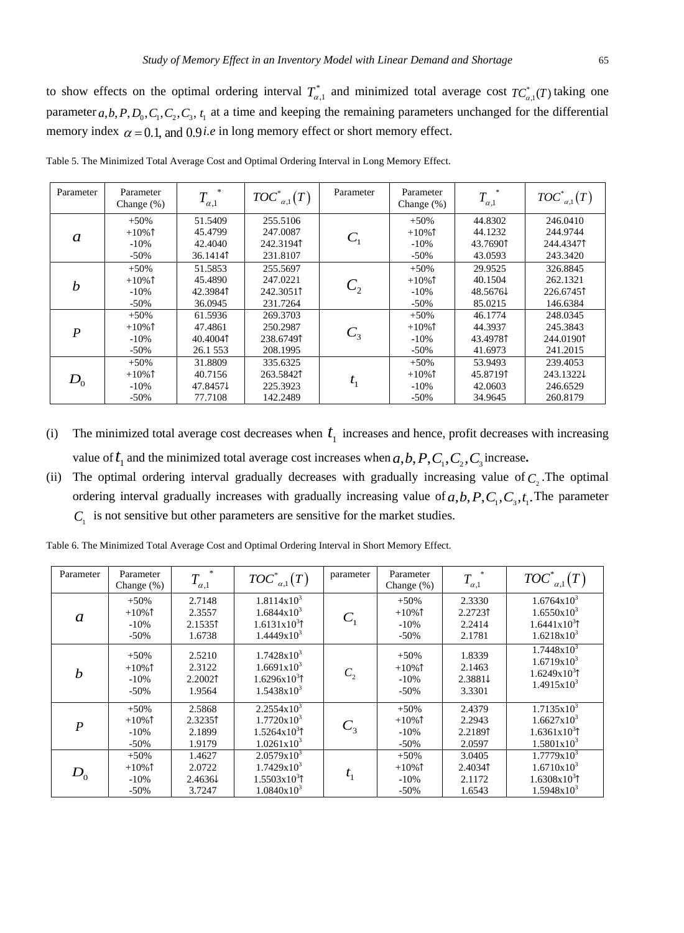to show effects on the optimal ordering interval  $T_{\alpha,1}^*$  and minimized total average cost  $TC_{\alpha,1}^*(T)$  taking one parameter  $a, b, P, D_0, C_1, C_2, C_3, t_1$  at a time and keeping the remaining parameters unchanged for the differential memory index  $\alpha = 0.1$ , and  $0.9$ *i.e* in long memory effect or short memory effect.

| Parameter                 | Parameter<br>Change $(\%)$ | $\,$<br>$T_{\alpha,1}$ | $TOC^*_{\alpha,1}(T)$ | Parameter | Parameter<br>Change $(\%)$ | 米<br>$T_{\alpha,1}$ | $TOC^*_{a,1}(T)$ |
|---------------------------|----------------------------|------------------------|-----------------------|-----------|----------------------------|---------------------|------------------|
|                           | $+50%$                     | 51.5409                | 255.5106              |           | $+50%$                     | 44.8302             | 246.0410         |
| a                         | $+10%$                     | 45.4799                | 247.0087              |           | $+10%$                     | 44.1232             | 244.9744         |
|                           | $-10%$                     | 42.4040                | 242.31941             |           | $-10%$                     | 43.76901            | 244.43471        |
|                           | $-50\%$                    | 36.14141               | 231.8107              |           | $-50\%$                    | 43.0593             | 243.3420         |
|                           | $+50%$                     | 51.5853                | 255.5697              |           | $+50%$                     | 29.9525             | 326.8845         |
| $\boldsymbol{h}$          | $+10%$                     | 45.4890                | 247.0221              | $C_{2}$   | $+10\%$                    | 40.1504             | 262.1321         |
|                           | $-10%$                     | 42.39841               | 242.30511             |           | $-10%$                     | 48.56761            | 226.67451        |
|                           | $-50\%$                    | 36.0945                | 231.7264              |           | $-50\%$                    | 85.0215             | 146.6384         |
|                           | $+50%$                     | 61.5936                | 269.3703              |           | $+50%$                     | 46.1774             | 248.0345         |
| $\boldsymbol{P}$          | $+10\%$ 1                  | 47.4861                | 250.2987              |           | $+10\%$ 1                  | 44.3937             | 245.3843         |
|                           | $-10%$                     | 40.40041               | 238.67491             | $C_3$     | $-10%$                     | 43.49781            | 244.01901        |
|                           | $-50\%$                    | 26.1 553               | 208.1995              |           | $-50%$                     | 41.6973             | 241.2015         |
|                           | $+50%$                     | 31.8809                | 335.6325              |           | $+50%$                     | 53.9493             | 239.4053         |
| $D^{\phantom{\dagger}}_0$ | $+10\%$ 1                  | 40.7156                | 263.58421             | $t_{1}$   | $+10\%$ 1                  | 45.87191            | 243.1322↓        |
|                           | $-10%$                     | 47.84571               | 225.3923              |           | $-10%$                     | 42.0603             | 246.6529         |
|                           | $-50%$                     | 77.7108                | 142.2489              |           | $-50%$                     | 34.9645             | 260.8179         |

Table 5. The Minimized Total Average Cost and Optimal Ordering Interval in Long Memory Effect.

- (i) The minimized total average cost decreases when  $t_1$  increases and hence, profit decreases with increasing value of  $t_1$  and the minimized total average cost increases when  $a,b, P, C_1, C_2, C_3$  increase.
- (ii) The optimal ordering interval gradually decreases with gradually increasing value of  $C_2$ . The optimal ordering interval gradually increases with gradually increasing value of  $a,b,P,C_1,C_3,t_1$ . The parameter  $C_1$  is not sensitive but other parameters are sensitive for the market studies.

| Parameter                  | Parameter<br>Change $(\%)$            | $\ast$<br>$T_{\alpha,1}$                         | $TOC^*_{\alpha,1}(T)$                                                                                  | parameter      | Parameter<br>Change (%)                 | *<br>$T_{\alpha,1}$                   | $TOC^*_{\alpha,1}(T)$                                                                        |
|----------------------------|---------------------------------------|--------------------------------------------------|--------------------------------------------------------------------------------------------------------|----------------|-----------------------------------------|---------------------------------------|----------------------------------------------------------------------------------------------|
| a                          | $+50%$<br>$+10%$<br>$-10%$<br>$-50\%$ | 2.7148<br>2.3557<br>2.15351<br>1.6738            | $1.8114x10^{3}$<br>$1.6844 \times 10^3$<br>$1.6131x10^{3}$ <sup>1</sup><br>$1.4449x10^{3}$             | $C_{1}$        | $+50%$<br>$+10%$<br>$-10%$<br>$-50%$    | 2.3330<br>2.27231<br>2.2414<br>2.1781 | $1.6764 \mathrm{x} 10^3$<br>$1.6550x10^3$<br>$1.6441x10^{3}$ <sup>1</sup><br>$1.6218x10^{3}$ |
| $\boldsymbol{b}$           | $+50%$<br>$+10%$<br>$-10%$<br>$-50\%$ | 2.5210<br>2.3122<br>2.20021<br>1.9564            | $1.7428x10^{3}$<br>$1.6691x10^{3}$<br>$1.6296x10^{3}$ <sup>1</sup><br>$1.5438x10^{3}$                  | C <sub>2</sub> | $+50%$<br>$+10%$<br>$-10%$<br>$-50%$    | 1.8339<br>2.1463<br>2.38814<br>3.3301 | $1.7448x10^{3}$<br>$1.6719x10^{3}$<br>$1.6249x10^{3}$<br>$1.4915x10^3$                       |
| $\boldsymbol{P}$           | $+50%$<br>$+10%$<br>$-10%$<br>$-50%$  | 2.5868<br>2.32351<br>2.1899<br>1.9179            | $2.2554x10^3$<br>$1.7720 \times 10^{3}$<br>$1.5264 \times 10^{3}$ <sup>1</sup><br>$1.0261 \times 10^3$ | $C_{3}$        | $+50%$<br>$+10\%$ 1<br>$-10%$<br>$-50%$ | 2.4379<br>2.2943<br>2.21891<br>2.0597 | $1.7135x10^3$<br>$1.6627x10^{3}$<br>$1.6361x10^{3}$<br>$1.5801x10^3$                         |
| $D^{\vphantom{\dagger}}_0$ | $+50%$<br>$+10\%$<br>$-10%$<br>$-50%$ | 1.4627<br>2.0722<br>$2.4636\downarrow$<br>3.7247 | $2.0579x10^{3}$<br>$1.7429x10^{3}$<br>$1.5503 \times 10^{3}$ <sup>1</sup><br>$1.0840x10^{3}$           | $t_{1}$        | $+50%$<br>$+10\%$ 1<br>$-10%$<br>$-50%$ | 3.0405<br>2.40341<br>2.1172<br>1.6543 | $1.7779x10^{3}$<br>$1.6710x10^{3}$<br>$1.6308x10^{3}$ <sup>1</sup><br>$1.5948x10^{3}$        |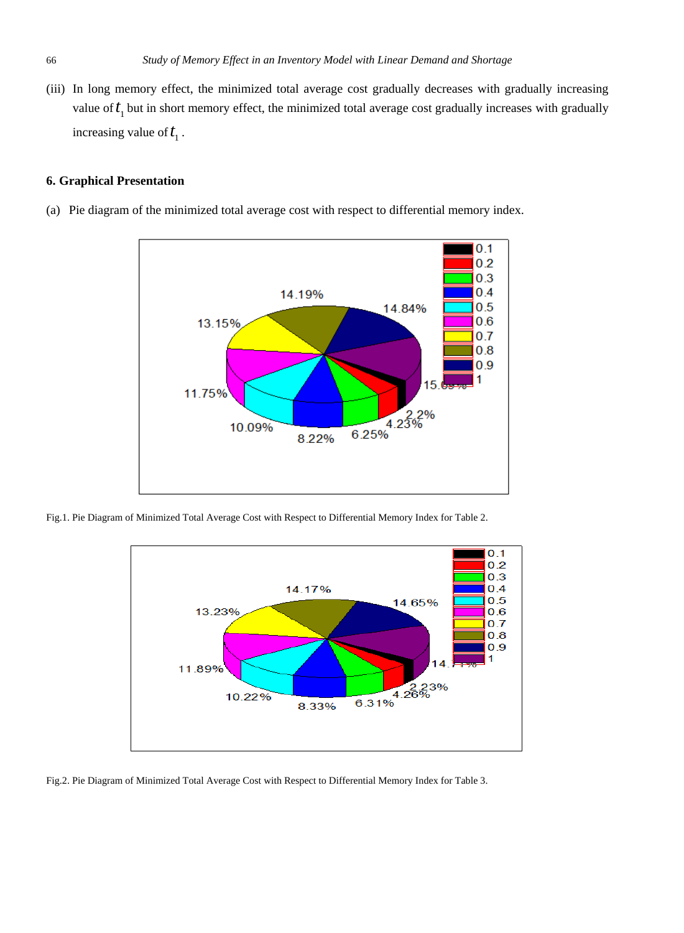(iii) In long memory effect, the minimized total average cost gradually decreases with gradually increasing value of  $t_1$  but in short memory effect, the minimized total average cost gradually increases with gradually increasing value of  $t_1$ .

# **6. Graphical Presentation**

(a) Pie diagram of the minimized total average cost with respect to differential memory index*.*



Fig.1. Pie Diagram of Minimized Total Average Cost with Respect to Differential Memory Index for Table 2.



Fig.2. Pie Diagram of Minimized Total Average Cost with Respect to Differential Memory Index for Table 3.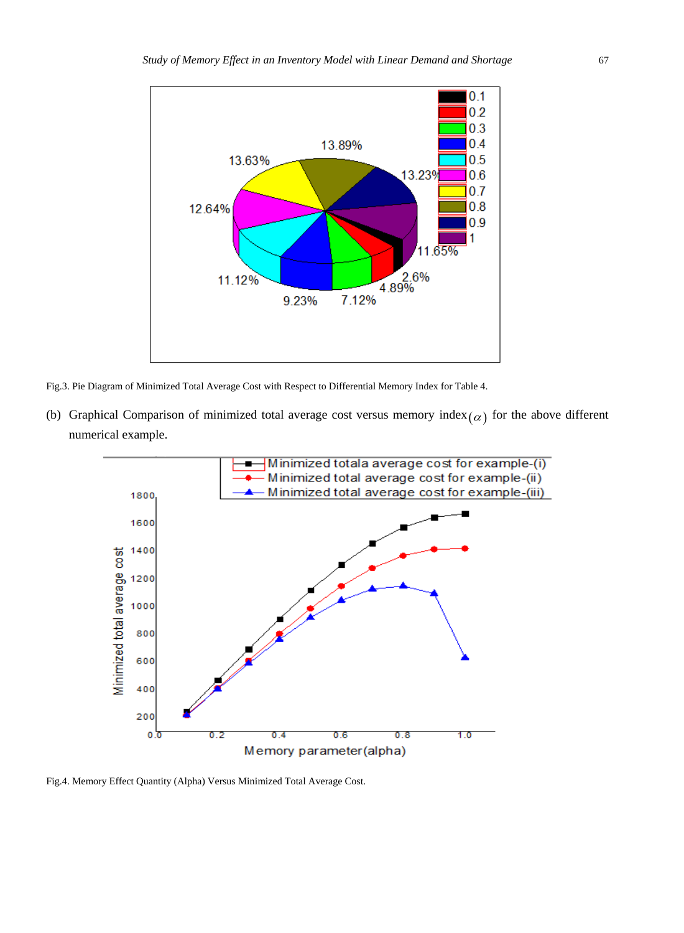

Fig.3. Pie Diagram of Minimized Total Average Cost with Respect to Differential Memory Index for Table 4.

(b) Graphical Comparison of minimized total average cost versus memory index $(\alpha)$  for the above different numerical example.



Fig.4. Memory Effect Quantity (Alpha) Versus Minimized Total Average Cost.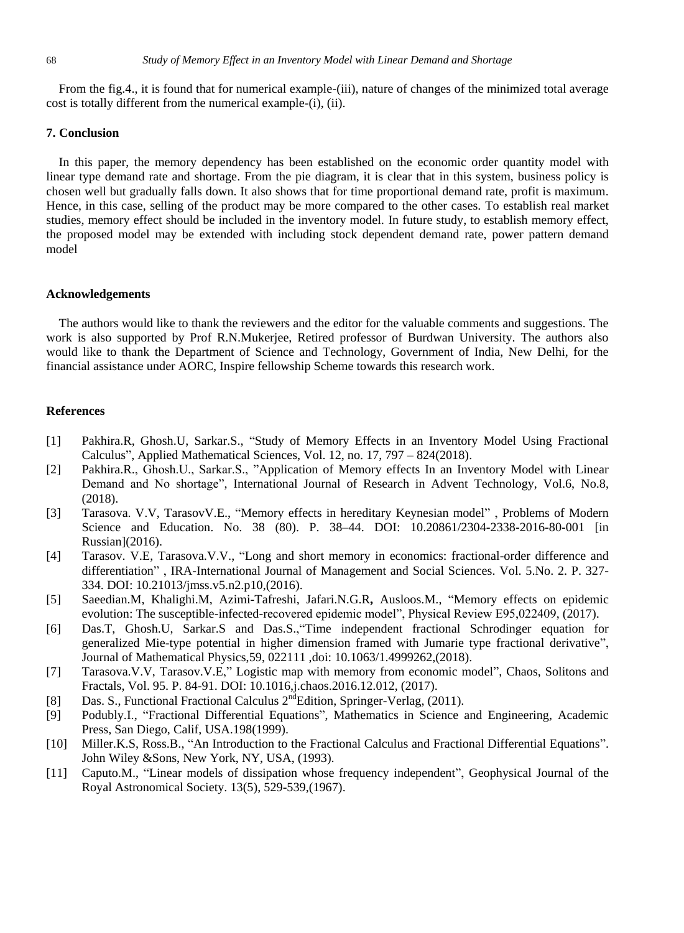From the fig.4., it is found that for numerical example-(iii), nature of changes of the minimized total average cost is totally different from the numerical example-(i), (ii).

## **7. Conclusion**

In this paper, the memory dependency has been established on the economic order quantity model with linear type demand rate and shortage. From the pie diagram, it is clear that in this system, business policy is chosen well but gradually falls down. It also shows that for time proportional demand rate, profit is maximum. Hence, in this case, selling of the product may be more compared to the other cases. To establish real market studies, memory effect should be included in the inventory model. In future study, to establish memory effect, the proposed model may be extended with including stock dependent demand rate, power pattern demand model

## **Acknowledgements**

The authors would like to thank the reviewers and the editor for the valuable comments and suggestions. The work is also supported by Prof R.N.Mukerjee, Retired professor of Burdwan University. The authors also would like to thank the Department of Science and Technology, Government of India, New Delhi, for the financial assistance under AORC, Inspire fellowship Scheme towards this research work.

## **References**

- [1] Pakhira.R, Ghosh.U, Sarkar.S., "Study of Memory Effects in an Inventory Model Using Fractional Calculus", Applied Mathematical Sciences, Vol. 12, no. 17, 797 – 824(2018).
- [2] Pakhira.R., Ghosh.U., Sarkar.S., "Application of Memory effects In an Inventory Model with Linear Demand and No shortage", International Journal of Research in Advent Technology, Vol.6, No.8, (2018).
- [3] Tarasova. V.V, TarasovV.E., "Memory effects in hereditary Keynesian model" , Problems of Modern Science and Education. No. 38 (80). P. 38–44. DOI: 10.20861/2304-2338-2016-80-001 [in Russian](2016).
- [4] Tarasov. V.E, Tarasova.V.V., "Long and short memory in economics: fractional-order difference and differentiation" , IRA-International Journal of Management and Social Sciences. Vol. 5.No. 2. P. 327- 334. DOI: 10.21013/jmss.v5.n2.p10,(2016).
- [5] Saeedian.M, Khalighi.M, Azimi-Tafreshi, Jafari.N.G.R**,** Ausloos.M., "Memory effects on epidemic evolution: The susceptible-infected-recovered epidemic model", Physical Review E95,022409, (2017).
- [6] Das.T, Ghosh.U, Sarkar.S and Das.S.,"Time independent fractional Schrodinger equation for generalized Mie-type potential in higher dimension framed with Jumarie type fractional derivative", Journal of Mathematical Physics,59, 022111 ,doi: 10.1063/1.4999262,(2018).
- [7] Tarasova.V.V, Tarasov.V.E," Logistic map with memory from economic model", Chaos, Solitons and Fractals, Vol. 95. P. 84-91. DOI: 10.1016,j.chaos.2016.12.012, (2017).
- [8] Das. S., Functional Fractional Calculus 2<sup>nd</sup>Edition, Springer-Verlag, (2011).
- [9] Podubly.I., "Fractional Differential Equations", Mathematics in Science and Engineering, Academic Press, San Diego, Calif, USA.198(1999).
- [10] Miller.K.S, Ross.B., "An Introduction to the Fractional Calculus and Fractional Differential Equations". John Wiley &Sons, New York, NY, USA, (1993).
- [11] Caputo.M., "Linear models of dissipation whose frequency independent", Geophysical Journal of the Royal Astronomical Society. 13(5), 529-539,(1967).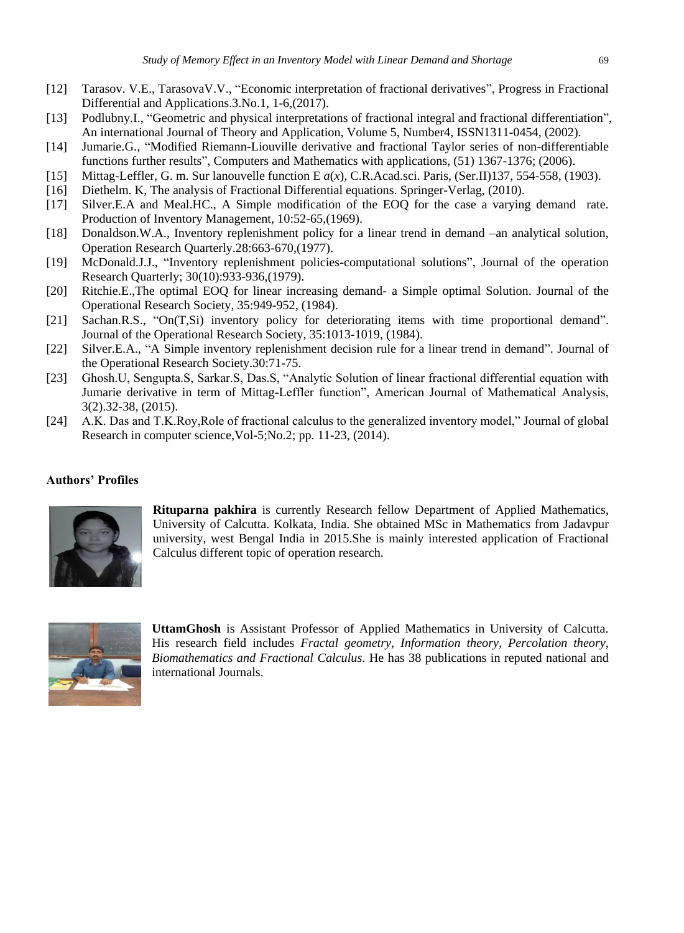- [12] Tarasov. V.E., TarasovaV.V., "Economic interpretation of fractional derivatives", Progress in Fractional Differential and Applications.3.No.1, 1-6,(2017).
- [13] Podlubny.I., "Geometric and physical interpretations of fractional integral and fractional differentiation", An international Journal of Theory and Application, Volume 5, Number4, ISSN1311-0454, (2002).
- [14] Jumarie.G., "Modified Riemann-Liouville derivative and fractional Taylor series of non-differentiable functions further results", Computers and Mathematics with applications, (51) 1367-1376; (2006).
- [15] Mittag-Leffler, G. m. Sur lanouvelle function E *a*(*x*), C.R.Acad.sci. Paris, (Ser.II)137, 554-558, (1903).
- [16] Diethelm. K, The analysis of Fractional Differential equations. Springer-Verlag, (2010).
- [17] Silver.E.A and Meal.HC., A Simple modification of the EOQ for the case a varying demand rate. Production of Inventory Management, 10:52-65,(1969).
- [18] Donaldson.W.A., Inventory replenishment policy for a linear trend in demand –an analytical solution, Operation Research Quarterly.28:663-670,(1977).
- [19] McDonald.J.J., "Inventory replenishment policies-computational solutions", Journal of the operation Research Quarterly; 30(10):933-936,(1979).
- [20] Ritchie.E.,The optimal EOQ for linear increasing demand- a Simple optimal Solution. Journal of the Operational Research Society, 35:949-952, (1984).
- [21] Sachan.R.S., "On(T,Si) inventory policy for deteriorating items with time proportional demand". Journal of the Operational Research Society, 35:1013-1019, (1984).
- [22] Silver.E.A., "A Simple inventory replenishment decision rule for a linear trend in demand". Journal of the Operational Research Society.30:71-75.
- [23] Ghosh.U, Sengupta.S, Sarkar.S, Das.S, "Analytic Solution of linear fractional differential equation with Jumarie derivative in term of Mittag-Leffler function", American Journal of Mathematical Analysis, 3(2).32-38, (2015).
- [24] A.K. Das and T.K.Roy,Role of fractional calculus to the generalized inventory model," Journal of global Research in computer science,Vol-5;No.2; pp. 11-23, (2014).

# **Authors' Profiles**



**Rituparna pakhira** is currently Research fellow Department of Applied Mathematics, University of Calcutta. Kolkata, India. She obtained MSc in Mathematics from Jadavpur university, west Bengal India in 2015.She is mainly interested application of Fractional Calculus different topic of operation research.



**UttamGhosh** is Assistant Professor of Applied Mathematics in University of Calcutta. His research field includes *Fractal geometry, Information theory, Percolation theory, Biomathematics and Fractional Calculus*. He has 38 publications in reputed national and international Journals.